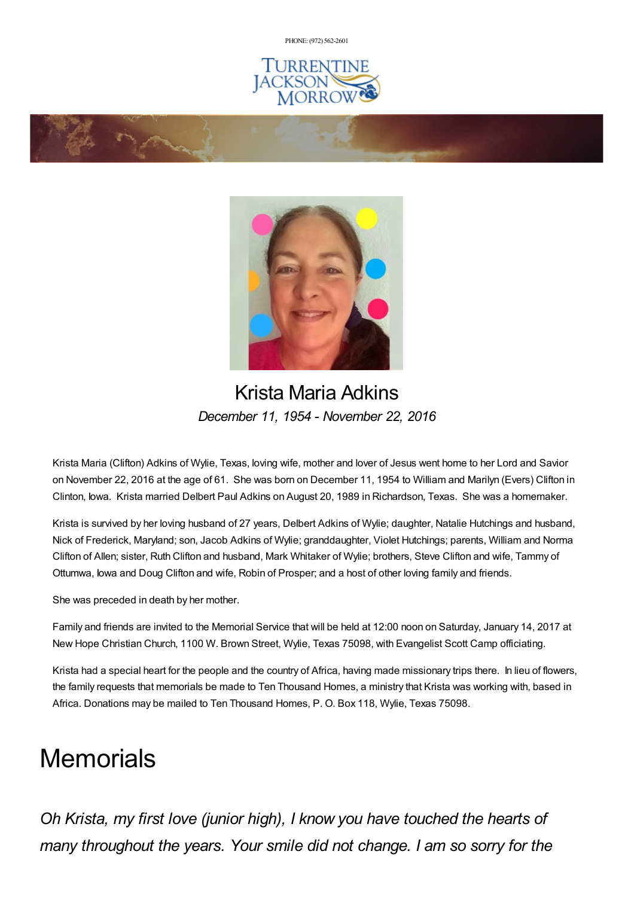PHONE: (972) [562-2601](tel:(972) 562-2601)







# Krista Maria Adkins *December 11, 1954 - November 22, 2016*

Krista Maria (Clifton) Adkins of Wylie, Texas, loving wife, mother and lover of Jesus went home to her Lord and Savior on November 22, 2016 at the age of 61. She was born on December 11, 1954 to William and Marilyn (Evers) Clifton in Clinton, Iowa. Krista married Delbert Paul Adkins on August 20, 1989 in Richardson, Texas. She was a homemaker.

Krista is survived by her loving husband of 27 years, Delbert Adkins of Wylie; daughter, Natalie Hutchings and husband, Nick of Frederick, Maryland; son, Jacob Adkins of Wylie; granddaughter, Violet Hutchings; parents, William and Norma Clifton of Allen; sister, Ruth Clifton and husband, Mark Whitaker of Wylie; brothers, Steve Clifton and wife, Tammy of Ottumwa, Iowa and Doug Clifton and wife, Robin of Prosper; and a host of other loving family and friends.

She was preceded in death by her mother.

Family and friends are invited to the Memorial Service that will be held at 12:00 noon on Saturday, January 14, 2017 at New Hope Christian Church, 1100 W. Brown Street, Wylie, Texas 75098, with Evangelist Scott Camp officiating.

Krista had a special heart for the people and the country of Africa, having made missionary trips there. In lieu of flowers, the family requests that memorials be made to Ten Thousand Homes, a ministry that Krista was working with, based in Africa. Donations may be mailed to Ten Thousand Homes, P. O. Box 118, Wylie, Texas 75098.

# **Memorials**

*Oh Krista, my first love (junior high), I know you have touched the hearts of many throughout the years. Your smile did not change. I am so sorry for the*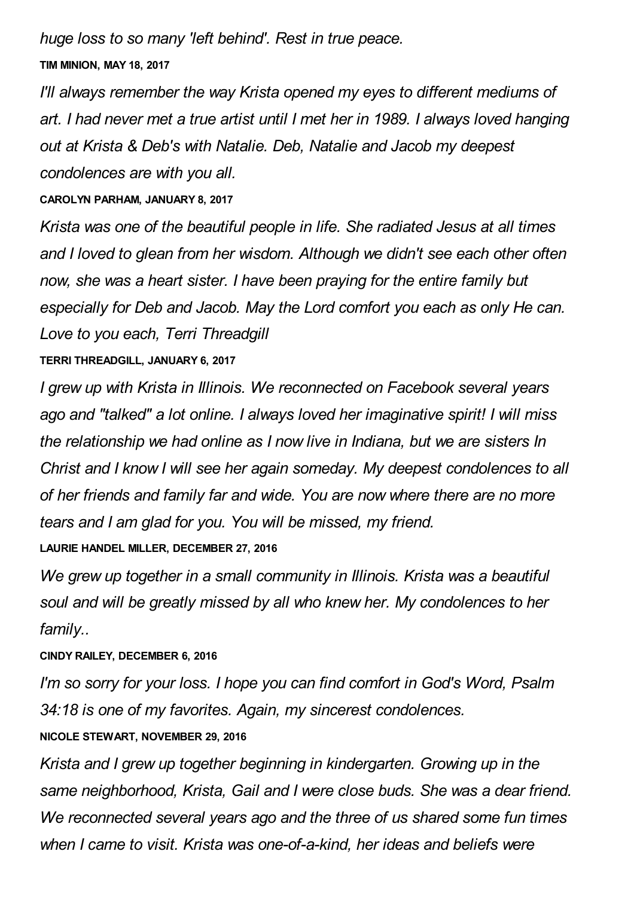*huge loss to so many 'left behind'. Rest in true peace.*

**TIM MINION, MAY 18, 2017**

*I'll always remember the way Krista opened my eyes to different mediums of art. I had never met a true artist until I met her in 1989. I always loved hanging out at Krista & Deb's with Natalie. Deb, Natalie and Jacob my deepest condolences are with you all.*

**CAROLYN PARHAM, JANUARY 8, 2017**

*Krista was one of the beautiful people in life. She radiated Jesus at all times and I loved to glean from her wisdom. Although we didn't see each other often now, she was a heart sister. I have been praying for the entire family but especially for Deb and Jacob. May the Lord comfort you each as only He can. Love to you each, Terri Threadgill*

## **TERRI THREADGILL, JANUARY 6, 2017**

*I grew up with Krista in Illinois. We reconnected on Facebook several years ago and "talked" a lot online. I always loved her imaginative spirit! I will miss the relationship we had online as I now live in Indiana, but we are sisters In Christ and I know I will see her again someday. My deepest condolences to all of her friends and family far and wide. You are now where there are no more tears and I am glad for you. You will be missed, my friend.*

**LAURIE HANDEL MILLER, DECEMBER 27, 2016**

*We grew up together in a small community in Illinois. Krista was a beautiful soul and will be greatly missed by all who knew her. My condolences to her family..*

### **CINDY RAILEY, DECEMBER 6, 2016**

*I'm so sorry for your loss. I hope you can find comfort in God's Word, Psalm 34:18 is one of my favorites. Again, my sincerest condolences.*

### **NICOLE STEWART, NOVEMBER 29, 2016**

*Krista and I grew up together beginning in kindergarten. Growing up in the same neighborhood, Krista, Gail and I were close buds. She was a dear friend. We reconnected several years ago and the three of us shared some fun times when I came to visit. Krista was one-of-a-kind, her ideas and beliefs were*